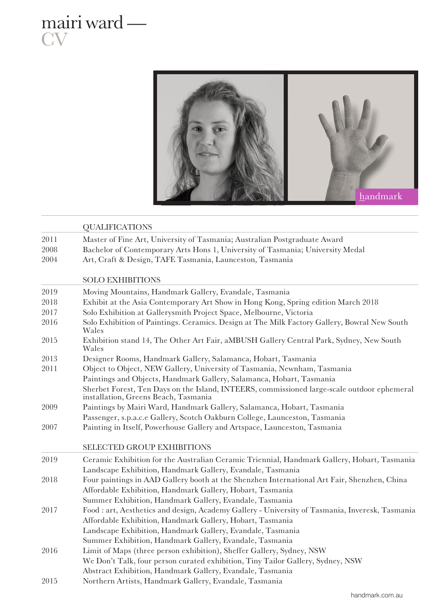

mairi ward —

**CV** 

|      | <b>QUALIFICATIONS</b>                                                                                                                                     |
|------|-----------------------------------------------------------------------------------------------------------------------------------------------------------|
| 2011 | Master of Fine Art, University of Tasmania; Australian Postgraduate Award                                                                                 |
| 2008 | Bachelor of Contemporary Arts Hons 1, University of Tasmania; University Medal                                                                            |
| 2004 | Art, Craft & Design, TAFE Tasmania, Launceston, Tasmania                                                                                                  |
|      | <b>SOLO EXHIBITIONS</b>                                                                                                                                   |
| 2019 |                                                                                                                                                           |
|      | Moving Mountains, Handmark Gallery, Evandale, Tasmania                                                                                                    |
| 2018 | Exhibit at the Asia Contemporary Art Show in Hong Kong, Spring edition March 2018                                                                         |
| 2017 | Solo Exhibition at Gallerysmith Project Space, Melbourne, Victoria                                                                                        |
| 2016 | Solo Exhibition of Paintings. Ceramics. Design at The Milk Factory Gallery, Bowral New South<br>Wales                                                     |
| 2015 | Exhibition stand 14, The Other Art Fair, aMBUSH Gallery Central Park, Sydney, New South<br>Wales                                                          |
| 2013 | Designer Rooms, Handmark Gallery, Salamanca, Hobart, Tasmania                                                                                             |
| 2011 | Object to Object, NEW Gallery, University of Tasmania, Newnham, Tasmania                                                                                  |
|      | Paintings and Objects, Handmark Gallery, Salamanca, Hobart, Tasmania                                                                                      |
|      | Sherbet Forest, Ten Days on the Island, INTEERS, commissioned large-scale outdoor ephemeral<br>installation, Greens Beach, Tasmania                       |
| 2009 | Paintings by Mairi Ward, Handmark Gallery, Salamanca, Hobart, Tasmania                                                                                    |
|      | Passenger, s.p.a.c.e Gallery, Scotch Oakburn College, Launceston, Tasmania                                                                                |
| 2007 | Painting in Itself, Powerhouse Gallery and Artspace, Launceston, Tasmania                                                                                 |
|      | <b>SELECTED GROUP EXHIBITIONS</b>                                                                                                                         |
| 2019 | Ceramic Exhibition for the Australian Ceramic Triennial, Handmark Gallery, Hobart, Tasmania<br>Landscape Exhibition, Handmark Gallery, Evandale, Tasmania |
| 2018 | Four paintings in AAD Gallery booth at the Shenzhen International Art Fair, Shenzhen, China                                                               |
|      | Affordable Exhibition, Handmark Gallery, Hobart, Tasmania                                                                                                 |
|      | Summer Exhibition, Handmark Gallery, Evandale, Tasmania                                                                                                   |
| 2017 | Food : art, Aesthetics and design, Academy Gallery - University of Tasmania, Inveresk, Tasmania                                                           |
|      | Affordable Exhibition, Handmark Gallery, Hobart, Tasmania                                                                                                 |
|      | Landscape Exhibition, Handmark Gallery, Evandale, Tasmania                                                                                                |
|      | Summer Exhibition, Handmark Gallery, Evandale, Tasmania                                                                                                   |
| 2016 | Limit of Maps (three person exhibition), Sheffer Gallery, Sydney, NSW                                                                                     |
|      | We Don't Talk, four person curated exhibition, Tiny Tailor Gallery, Sydney, NSW                                                                           |
|      | Abstract Exhibition, Handmark Gallery, Evandale, Tasmania                                                                                                 |
| 2015 | Northern Artists, Handmark Gallery, Evandale, Tasmania                                                                                                    |
|      |                                                                                                                                                           |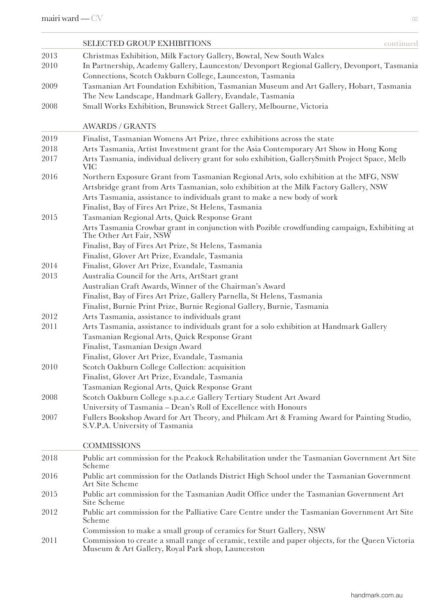|      | SELECTED GROUP EXHIBITIONS<br>continued                                                                                        |
|------|--------------------------------------------------------------------------------------------------------------------------------|
| 2013 | Christmas Exhibition, Milk Factory Gallery, Bowral, New South Wales                                                            |
| 2010 | In Partnership, Academy Gallery, Launceston/ Devonport Regional Gallery, Devonport, Tasmania                                   |
|      | Connections, Scotch Oakburn College, Launceston, Tasmania                                                                      |
| 2009 | Tasmanian Art Foundation Exhibition, Tasmanian Museum and Art Gallery, Hobart, Tasmania                                        |
|      | The New Landscape, Handmark Gallery, Evandale, Tasmania                                                                        |
| 2008 | Small Works Exhibition, Brunswick Street Gallery, Melbourne, Victoria                                                          |
|      | <b>AWARDS / GRANTS</b>                                                                                                         |
| 2019 | Finalist, Tasmanian Womens Art Prize, three exhibitions across the state                                                       |
| 2018 | Arts Tasmania, Artist Investment grant for the Asia Contemporary Art Show in Hong Kong                                         |
| 2017 | Arts Tasmania, individual delivery grant for solo exhibition, GallerySmith Project Space, Melb<br>VIC                          |
| 2016 | Northern Exposure Grant from Tasmanian Regional Arts, solo exhibition at the MFG, NSW                                          |
|      | Artsbridge grant from Arts Tasmanian, solo exhibition at the Milk Factory Gallery, NSW                                         |
|      | Arts Tasmania, assistance to individuals grant to make a new body of work                                                      |
|      | Finalist, Bay of Fires Art Prize, St Helens, Tasmania                                                                          |
| 2015 | Tasmanian Regional Arts, Quick Response Grant                                                                                  |
|      | Arts Tasmania Crowbar grant in conjunction with Pozible crowdfunding campaign, Exhibiting at<br>The Other Art Fair, NSW        |
|      | Finalist, Bay of Fires Art Prize, St Helens, Tasmania                                                                          |
|      | Finalist, Glover Art Prize, Evandale, Tasmania                                                                                 |
| 2014 | Finalist, Glover Art Prize, Evandale, Tasmania                                                                                 |
| 2013 | Australia Council for the Arts, ArtStart grant                                                                                 |
|      | Australian Craft Awards, Winner of the Chairman's Award                                                                        |
|      | Finalist, Bay of Fires Art Prize, Gallery Parnella, St Helens, Tasmania                                                        |
|      | Finalist, Burnie Print Prize, Burnie Regional Gallery, Burnie, Tasmania                                                        |
| 2012 | Arts Tasmania, assistance to individuals grant                                                                                 |
| 2011 | Arts Tasmania, assistance to individuals grant for a solo exhibition at Handmark Gallery                                       |
|      | Tasmanian Regional Arts, Quick Response Grant                                                                                  |
|      | Finalist, Tasmanian Design Award                                                                                               |
|      | Finalist, Glover Art Prize, Evandale, Tasmania                                                                                 |
| 2010 | Scotch Oakburn College Collection: acquisition                                                                                 |
|      | Finalist, Glover Art Prize, Evandale, Tasmania                                                                                 |
|      | Tasmanian Regional Arts, Quick Response Grant                                                                                  |
| 2008 | Scotch Oakburn College s.p.a.c.e Gallery Tertiary Student Art Award                                                            |
|      | University of Tasmania - Dean's Roll of Excellence with Honours                                                                |
| 2007 | Fullers Bookshop Award for Art Theory, and Philcam Art & Framing Award for Painting Studio,<br>S.V.P.A. University of Tasmania |
|      | <b>COMMISSIONS</b>                                                                                                             |
| 2018 | Public art commission for the Peakock Rehabilitation under the Tasmanian Government Art Site<br>Scheme                         |
| 2016 | Public art commission for the Oatlands District High School under the Tasmanian Government<br>Art Site Scheme                  |
| 2015 | Public art commission for the Tasmanian Audit Office under the Tasmanian Government Art<br>Site Scheme                         |
| 2012 | Public art commission for the Palliative Care Centre under the Tasmanian Government Art Site<br>Scheme                         |
|      | Commission to make a small group of ceramics for Sturt Gallery, NSW                                                            |

2011 Commission to create a small range of ceramic, textile and paper objects, for the Queen Victoria Museum & Art Gallery, Royal Park shop, Launceston